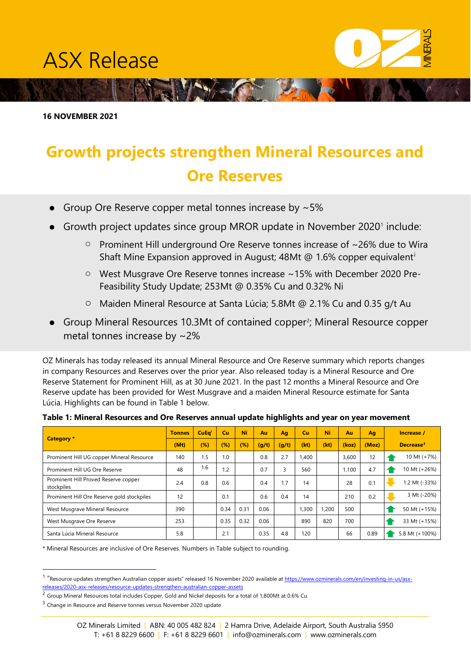# **ASX Release**

**16 NOVEMBER 2021** 

# **Growth projects strengthen Mineral Resources and Ore Reserves**

NEW C D

- Group Ore Reserve copper metal tonnes increase by  $\sim$  5%
- Growth project updates since group MROR update in November 2020<sup>[1](#page-0-0)</sup> include:
	- Prominent Hill underground Ore Reserve tonnes increase of  $\sim$ 26% due to Wira Shaft M[i](#page-6-0)ne Expansion approved in August; 48Mt @ 1.6% copper equivalent<sup>i</sup>
	- o West Musgrave Ore Reserve tonnes increase ~15% with December 2020 Pre-Feasibility Study Update; 253Mt @ 0.35% Cu and 0.32% Ni
	- o Maiden Mineral Resource at Santa Lúcia; 5.8Mt @ 2.1% Cu and 0.35 g/t Au
- Group Mineral Resources 10.3Mt of contained copper<sup>[2](#page-0-1)</sup>; Mineral Resource copper metal tonnes increase by ~2%

OZ Minerals has today released its annual Mineral Resource and Ore Reserve summary which reports changes in company Resources and Reserves over the prior year. Also released today is a Mineral Resource and Ore Reserve Statement for Prominent Hill, as at 30 June 2021. In the past 12 months a Mineral Resource and Ore Reserve update has been provided for West Musgrave and a maiden Mineral Resource estimate for Santa Lúcia. Highlights can be found in Table 1 below.

|                                                    | <b>Tonnes</b> | <b>CuEa</b> | Cu   | Ni   | Au    | Aq    | <b>Cu</b> | Ni    | Au    | Ag    | Increase /            |
|----------------------------------------------------|---------------|-------------|------|------|-------|-------|-----------|-------|-------|-------|-----------------------|
| <b>Category</b> *                                  | (Mt)          | (%)         | (%)  | (%)  | (g/t) | (g/t) | (kt)      | (kt)  | (koz) | (Moz) | Decrease <sup>3</sup> |
| Prominent Hill UG copper Mineral Resource          | 140           | 1.5         | 1.0  |      | 0.8   | 2.7   | 1,400     |       | 3.600 | 12    | 10 Mt (+7%)           |
| Prominent Hill UG Ore Reserve                      | 48            | 1.6         | 1.2  |      | 0.7   | 3     | 560       |       | 1.100 | 4.7   | 10 Mt (+26%)          |
| Prominent Hill Proved Reserve copper<br>stockpiles | 2.4           | 0.8         | 0.6  |      | 0.4   | 1.7   | 14        |       | 28    | 0.1   | 1.2 Mt (-33%)         |
| Prominent Hill Ore Reserve gold stockpiles         | 12            |             | 0.1  |      | 0.6   | 0.4   | 14        |       | 210   | 0.2   | 3 Mt (-20%)           |
| West Musgrave Mineral Resource                     | 390           |             | 0.34 | 0.31 | 0.06  |       | .300      | 1.200 | 500   |       | 50 Mt (+15%)          |
| West Musgrave Ore Reserve                          | 253           |             | 0.35 | 0.32 | 0.06  |       | 890       | 820   | 700   |       | 33 Mt (+15%)          |
| Santa Lúcia Mineral Resource                       | 5.8           |             | 2.1  |      | 0.35  | 4.8   | 120       |       | 66    | 0.89  | 5.8 Mt (+100%)        |

#### **Table 1: Mineral Resources and Ore Reserves annual update highlights and year on year movement**

\* Mineral Resources are inclusive of Ore Reserves. Numbers in Table subject to rounding.

<span id="page-0-1"></span> $^2$  Group Mineral Resources total includes Copper, Gold and Nickel deposits for a total of 1,800Mt at 0.6% Cu

<span id="page-0-0"></span><sup>&</sup>lt;sup>1</sup> "Resource updates strengthen Australian copper assets" released 16 November 2020 available a[t https://www.ozminerals.com/en/investing-in-us/asx](https://www.ozminerals.com/en/investing-in-us/asx-releases/2020-asx-releases/resource-updates-strengthen-australian-copper-assets)[releases/2020-asx-releases/resource-updates-strengthen-australian-copper-assets](https://www.ozminerals.com/en/investing-in-us/asx-releases/2020-asx-releases/resource-updates-strengthen-australian-copper-assets)

<span id="page-0-2"></span><sup>&</sup>lt;sup>3</sup> Change in Resource and Reserve tonnes versus November 2020 update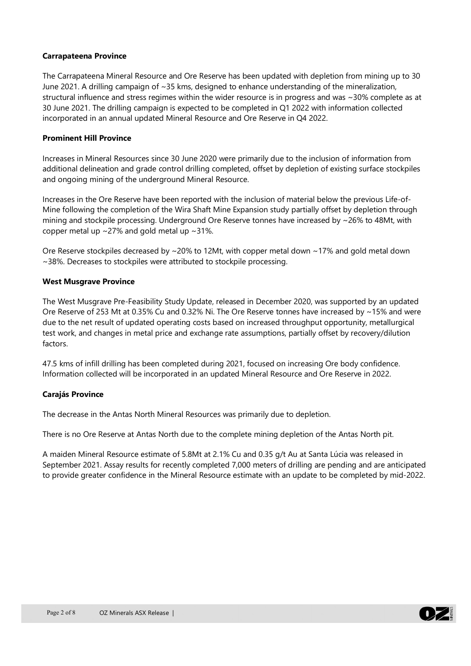#### **Carrapateena Province**

The Carrapateena Mineral Resource and Ore Reserve has been updated with depletion from mining up to 30 June 2021. A drilling campaign of ~35 kms, designed to enhance understanding of the mineralization, structural influence and stress regimes within the wider resource is in progress and was ~30% complete as at 30 June 2021. The drilling campaign is expected to be completed in Q1 2022 with information collected incorporated in an annual updated Mineral Resource and Ore Reserve in Q4 2022.

#### **Prominent Hill Province**

Increases in Mineral Resources since 30 June 2020 were primarily due to the inclusion of information from additional delineation and grade control drilling completed, offset by depletion of existing surface stockpiles and ongoing mining of the underground Mineral Resource.

Increases in the Ore Reserve have been reported with the inclusion of material below the previous Life-of-Mine following the completion of the Wira Shaft Mine Expansion study partially offset by depletion through mining and stockpile processing. Underground Ore Reserve tonnes have increased by ~26% to 48Mt, with copper metal up  $\sim$  27% and gold metal up  $\sim$  31%.

Ore Reserve stockpiles decreased by ~20% to 12Mt, with copper metal down ~17% and gold metal down ~38%. Decreases to stockpiles were attributed to stockpile processing.

#### **West Musgrave Province**

The West Musgrave Pre-Feasibility Study Update, released in December 2020, was supported by an updated Ore Reserve of 253 Mt at 0.35% Cu and 0.32% Ni. The Ore Reserve tonnes have increased by ~15% and were due to the net result of updated operating costs based on increased throughput opportunity, metallurgical test work, and changes in metal price and exchange rate assumptions, partially offset by recovery/dilution factors.

47.5 kms of infill drilling has been completed during 2021, focused on increasing Ore body confidence. Information collected will be incorporated in an updated Mineral Resource and Ore Reserve in 2022.

## **Carajás Province**

The decrease in the Antas North Mineral Resources was primarily due to depletion.

There is no Ore Reserve at Antas North due to the complete mining depletion of the Antas North pit.

A maiden Mineral Resource estimate of 5.8Mt at 2.1% Cu and 0.35 g/t Au at Santa Lúcia was released in September 2021. Assay results for recently completed 7,000 meters of drilling are pending and are anticipated to provide greater confidence in the Mineral Resource estimate with an update to be completed by mid-2022.

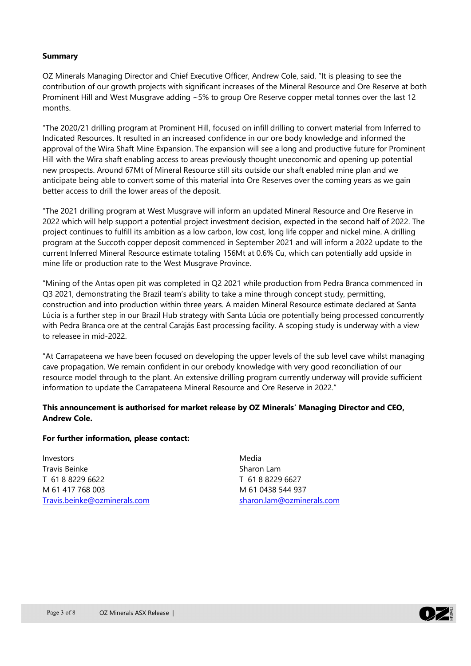#### **Summary**

OZ Minerals Managing Director and Chief Executive Officer, Andrew Cole, said, "It is pleasing to see the contribution of our growth projects with significant increases of the Mineral Resource and Ore Reserve at both Prominent Hill and West Musgrave adding ~5% to group Ore Reserve copper metal tonnes over the last 12 months.

"The 2020/21 drilling program at Prominent Hill, focused on infill drilling to convert material from Inferred to Indicated Resources. It resulted in an increased confidence in our ore body knowledge and informed the approval of the Wira Shaft Mine Expansion. The expansion will see a long and productive future for Prominent Hill with the Wira shaft enabling access to areas previously thought uneconomic and opening up potential new prospects. Around 67Mt of Mineral Resource still sits outside our shaft enabled mine plan and we anticipate being able to convert some of this material into Ore Reserves over the coming years as we gain better access to drill the lower areas of the deposit.

"The 2021 drilling program at West Musgrave will inform an updated Mineral Resource and Ore Reserve in 2022 which will help support a potential project investment decision, expected in the second half of 2022. The project continues to fulfill its ambition as a low carbon, low cost, long life copper and nickel mine. A drilling program at the Succoth copper deposit commenced in September 2021 and will inform a 2022 update to the current Inferred Mineral Resource estimate totaling 156Mt at 0.6% Cu, which can potentially add upside in mine life or production rate to the West Musgrave Province.

"Mining of the Antas open pit was completed in Q2 2021 while production from Pedra Branca commenced in Q3 2021, demonstrating the Brazil team's ability to take a mine through concept study, permitting, construction and into production within three years. A maiden Mineral Resource estimate declared at Santa Lúcia is a further step in our Brazil Hub strategy with Santa Lúcia ore potentially being processed concurrently with Pedra Branca ore at the central Carajás East processing facility. A scoping study is underway with a view to releasee in mid-2022.

"At Carrapateena we have been focused on developing the upper levels of the sub level cave whilst managing cave propagation. We remain confident in our orebody knowledge with very good reconciliation of our resource model through to the plant. An extensive drilling program currently underway will provide sufficient information to update the Carrapateena Mineral Resource and Ore Reserve in 2022."

## **This announcement is authorised for market release by OZ Minerals' Managing Director and CEO, Andrew Cole.**

#### **For further information, please contact:**

Investors Travis Beinke T 61 8 8229 6622 M 61 417 768 003 [Travis.beinke@ozminerals.com](mailto:Travis.beinke@ozminerals.com)

Media Sharon Lam T 61 8 8229 6627 M 61 0438 544 937 [sharon.lam@ozminerals.com](mailto:sharon.lam@ozminerals.com)

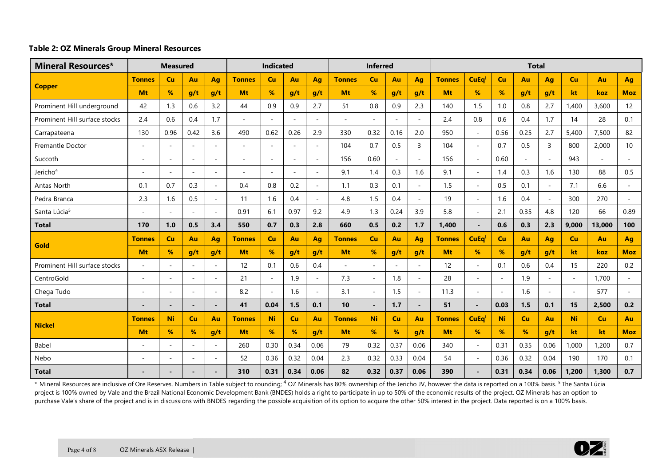#### **Table 2: OZ Minerals Group Mineral Resources**

| <b>Mineral Resources*</b>     |                          |                          | <b>Indicated</b>         |                          |                |                          | <b>Inferred</b> |          |                |                | <b>Total</b> |        |               |                          |           |      |        |        |        |            |
|-------------------------------|--------------------------|--------------------------|--------------------------|--------------------------|----------------|--------------------------|-----------------|----------|----------------|----------------|--------------|--------|---------------|--------------------------|-----------|------|--------|--------|--------|------------|
|                               | <b>Tonnes</b>            | Cu                       | Au                       | Aq                       | <b>Tonnes</b>  | Cu                       | Au              | Ag       | <b>Tonnes</b>  | Cu             | Au           | Ag     | <b>Tonnes</b> | <b>CuEq</b>              | <b>Cu</b> | Au   | Ag     | Cu     | Au     | Ag         |
| <b>Copper</b>                 | Mt                       | %                        | g/t                      | g/t                      | Mt             | %                        | g/t             | g/t      | Mt             | %              | g/t          | g/t    | <b>Mt</b>     | %                        | %         | g/t  | g/t    | kt     | koz    | <b>Moz</b> |
| Prominent Hill underground    | 42                       | 1.3                      | 0.6                      | 3.2                      | 44             | 0.9                      | 0.9             | 2.7      | 51             | 0.8            | 0.9          | 2.3    | 140           | 1.5                      | 1.0       | 0.8  | 2.7    | 1,400  | 3,600  | 12         |
| Prominent Hill surface stocks | 2.4                      | 0.6                      | 0.4                      | 1.7                      | $\blacksquare$ | $\sim$                   | $\sim$          | $\sim$   | $\blacksquare$ | $\sim$         | $\sim$       | $\sim$ | 2.4           | 0.8                      | 0.6       | 0.4  | 1.7    | 14     | 28     | 0.1        |
| Carrapateena                  | 130                      | 0.96                     | 0.42                     | 3.6                      | 490            | 0.62                     | 0.26            | 2.9      | 330            | 0.32           | 0.16         | 2.0    | 950           | $\blacksquare$           | 0.56      | 0.25 | 2.7    | 5,400  | 7,500  | 82         |
| <b>Fremantle Doctor</b>       | $\blacksquare$           | $\omega$                 | $\sim$                   | $\sim$                   | $\sim$         | $\sim$                   | $\sim$          | $\sim$   | 104            | 0.7            | 0.5          | 3      | 104           | $\sim$                   | 0.7       | 0.5  | 3      | 800    | 2,000  | 10         |
| Succoth                       | $\blacksquare$           | $\sim$                   | $\sim$                   | $\sim$                   | $\blacksquare$ | $\sim$                   | $\sim$          | $\sim$   | 156            | 0.60           |              |        | 156           |                          | 0.60      |      |        | 943    |        | $\sim$     |
| Jericho <sup>4</sup>          | $\blacksquare$           | $\sim$                   | $\sim$                   | $\overline{\phantom{a}}$ | $\blacksquare$ | $\overline{\phantom{a}}$ | $\sim$          | $\omega$ | 9.1            | 1.4            | 0.3          | 1.6    | 9.1           | $\sim$                   | 1.4       | 0.3  | 1.6    | 130    | 88     | 0.5        |
| Antas North                   | 0.1                      | 0.7                      | 0.3                      |                          | 0.4            | 0.8                      | 0.2             | $\omega$ | 1.1            | 0.3            | 0.1          |        | 1.5           |                          | 0.5       | 0.1  |        | 7.1    | 6.6    | $\sim$     |
| Pedra Branca                  | 2.3                      | 1.6                      | 0.5                      |                          | 11             | 1.6                      | 0.4             | $\sim$   | 4.8            | 1.5            | 0.4          |        | 19            | $\blacksquare$           | 1.6       | 0.4  |        | 300    | 270    |            |
| Santa Lúcia <sup>5</sup>      | $\overline{\phantom{a}}$ |                          |                          |                          | 0.91           | 6.1                      | 0.97            | 9.2      | 4.9            | 1.3            | 0.24         | 3.9    | 5.8           | $\overline{\phantom{a}}$ | 2.1       | 0.35 | 4.8    | 120    | 66     | 0.89       |
| <b>Total</b>                  | 170                      | 1.0                      | 0.5                      | 3.4                      | 550            | 0.7                      | 0.3             | 2.8      | 660            | 0.5            | 0.2          | 1.7    | 1,400         | $\blacksquare$           | 0.6       | 0.3  | 2.3    | 9,000  | 13,000 | 100        |
|                               | <b>Tonnes</b>            | <b>Cu</b>                | Au                       | Aq                       | <b>Tonnes</b>  | <b>Cu</b>                | Au              | Aq       | <b>Tonnes</b>  | Cu             | Au           | Aq     | <b>Tonnes</b> | CuEq <sup>i</sup>        | <b>Cu</b> | Au   | Aq     | Cu     | Au     | Ag         |
| <b>Gold</b>                   | Mt                       | %                        | g/t                      | g/t                      | Mt             | %                        | g/t             | g/t      | Mt             | %              | g/t          | g/t    | <b>Mt</b>     | %                        | %         | g/t  | g/t    | kt     | koz    | <b>Moz</b> |
| Prominent Hill surface stocks | $\blacksquare$           | $\sim$                   | $\sim$                   |                          | 12             | 0.1                      | 0.6             | 0.4      | $\blacksquare$ | $\sim$         |              |        | 12            | $\blacksquare$           | 0.1       | 0.6  | 0.4    | 15     | 220    | 0.2        |
| CentroGold                    | $\blacksquare$           | $\sim$                   | $\sim$                   |                          | 21             | $\overline{\phantom{a}}$ | 1.9             | $\omega$ | 7.3            | $\sim$         | 1.8          |        | 28            |                          |           | 1.9  | $\sim$ | $\sim$ | 1,700  | $\equiv$   |
| Chega Tudo                    | $\sim$                   | $\sim$                   | $\overline{\phantom{a}}$ | $\overline{\phantom{a}}$ | 8.2            |                          | 1.6             | $\omega$ | 3.1            | $\sim$         | 1.5          |        | 11.3          | $\blacksquare$           |           | 1.6  | $\sim$ | $\sim$ | 577    | $\sim$     |
| <b>Total</b>                  |                          | $\blacksquare$           | $\blacksquare$           |                          | 41             | 0.04                     | 1.5             | 0.1      | 10             | $\blacksquare$ | 1.7          |        | 51            |                          | 0.03      | 1.5  | 0.1    | 15     | 2,500  | 0.2        |
|                               | <b>Tonnes</b>            | Ni                       | <b>Cu</b>                | Au                       | <b>Tonnes</b>  | Ni                       | Cu              | Au       | <b>Tonnes</b>  | Ni             | <b>Cu</b>    | Au     | <b>Tonnes</b> | <b>CuEqi</b>             | Ni        | Cu   | Au     | Ni     | Cu     | Au         |
| <b>Nickel</b>                 | Mt                       | %                        | %                        | g/t                      | Mt             | %                        | %               | g/t      | Mt             | %              | %            | g/t    | Mt            | %                        | %         | %    | g/t    | kt     | kt     | <b>Moz</b> |
| Babel                         | $\blacksquare$           | $\overline{\phantom{a}}$ | $\overline{\phantom{a}}$ | $\overline{\phantom{a}}$ | 260            | 0.30                     | 0.34            | 0.06     | 79             | 0.32           | 0.37         | 0.06   | 340           | $\blacksquare$           | 0.31      | 0.35 | 0.06   | 1,000  | 1,200  | 0.7        |
| Nebo                          | $\blacksquare$           | $\overline{\phantom{a}}$ | $\sim$                   |                          | 52             | 0.36                     | 0.32            | 0.04     | 2.3            | 0.32           | 0.33         | 0.04   | 54            | $\blacksquare$           | 0.36      | 0.32 | 0.04   | 190    | 170    | 0.1        |
| <b>Total</b>                  |                          |                          |                          |                          | 310            | 0.31                     | 0.34            | 0.06     | 82             | 0.32           | 0.37         | 0.06   | 390           |                          | 0.31      | 0.34 | 0.06   | 1,200  | 1,300  | 0.7        |

\* Mineral Resources are inclusive of Ore Reserves. Numbers in Table subject to rounding; <sup>4</sup> OZ Minerals has 80% ownership of the Jericho JV, however the data is reported on a 100% basis. <sup>5</sup> The Santa Lúcia project is 100% owned by Vale and the Brazil National Economic Development Bank (BNDES) holds a right to participate in up to 50% of the economic results of the project. OZ Minerals has an option to purchase Vale's share of the project and is in discussions with BNDES regarding the possible acquisition of its option to acquire the other 50% interest in the project. Data reported is on a 100% basis.

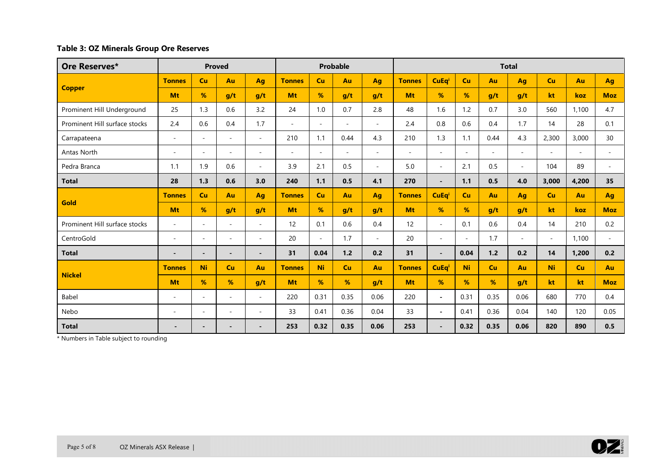# **Table 3: OZ Minerals Group Ore Reserves**

| Ore Reserves*                 | <b>Proved</b>  |                          |                          |                          | <b>Probable</b> |                |                          |                          | <b>Total</b>  |                |           |        |                |                          |       |                 |  |
|-------------------------------|----------------|--------------------------|--------------------------|--------------------------|-----------------|----------------|--------------------------|--------------------------|---------------|----------------|-----------|--------|----------------|--------------------------|-------|-----------------|--|
|                               | <b>Tonnes</b>  | Cu                       | Au                       | Aq                       | <b>Tonnes</b>   | <b>Cu</b>      | Au                       | Ag                       | <b>Tonnes</b> | <b>CuEqi</b>   | Cu        | Au     | Ag             | Cu                       | Au    | Ag              |  |
| <b>Copper</b>                 | Mt             | %                        | g/t                      | g/t                      | Mt              | %              | g/t                      | g/t                      | Mt            | %              | %         | g/t    | g/t            | kt                       | koz   | <b>Moz</b>      |  |
| Prominent Hill Underground    | 25             | 1.3                      | 0.6                      | 3.2                      | 24              | 1.0            | 0.7                      | 2.8                      | 48            | 1.6            | 1.2       | 0.7    | 3.0            | 560                      | 1,100 | 4.7             |  |
| Prominent Hill surface stocks | 2.4            | 0.6                      | 0.4                      | 1.7                      | $\sim$          | $\overline{a}$ | $\overline{\phantom{a}}$ | $\overline{\phantom{a}}$ | 2.4           | 0.8            | 0.6       | 0.4    | 1.7            | 14                       | 28    | 0.1             |  |
| Carrapateena                  | $\overline{a}$ | $\sim$                   | $\sim$                   | $\sim$                   | 210             | 1.1            | 0.44                     | 4.3                      | 210           | 1.3            | 1.1       | 0.44   | 4.3            | 2,300                    | 3,000 | 30              |  |
| Antas North                   | $\blacksquare$ | $\overline{\phantom{a}}$ | $\overline{\phantom{a}}$ | $\overline{\phantom{a}}$ | ÷.              | $\sim$         | $\overline{\phantom{a}}$ | $\blacksquare$           | $\sim$        | $\sim$         | $\sim$    | $\sim$ | $\sim$         | $\overline{\phantom{a}}$ |       | $\sim$          |  |
| Pedra Branca                  | 1.1            | 1.9                      | 0.6                      | $\sim$                   | 3.9             | 2.1            | 0.5                      | $\blacksquare$           | 5.0           | $\sim$         | 2.1       | 0.5    | $\blacksquare$ | 104                      | 89    | $\sim$          |  |
| <b>Total</b>                  | 28             | 1.3                      | 0.6                      | 3.0                      | 240             | 1.1            | 0.5                      | 4.1                      | 270           | $\blacksquare$ | 1.1       | 0.5    | 4.0            | 3,000                    | 4,200 | 35 <sub>2</sub> |  |
| Gold                          | <b>Tonnes</b>  | Cu                       | Au                       | Ag                       | <b>Tonnes</b>   | Cu             | Au                       | Ag                       | <b>Tonnes</b> | <b>CuEqi</b>   | Cu        | Au     | Aq             | Cu                       | Au    | Ag              |  |
|                               | Mt             | %                        | g/t                      | g/t                      | Mt              | %              | g/t                      | g/t                      | Mt            | %              | %         | g/t    | g/t            | kt                       | koz   | <b>Moz</b>      |  |
| Prominent Hill surface stocks | $\blacksquare$ |                          | $\sim$                   | $\overline{\phantom{a}}$ | 12              | 0.1            | 0.6                      | 0.4                      | 12            | $\sim$         | 0.1       | 0.6    | 0.4            | 14                       | 210   | 0.2             |  |
| CentroGold                    | $\blacksquare$ |                          | $\sim$                   | $\sim$                   | 20              | $\overline{a}$ | 1.7                      | $\blacksquare$           | 20            | $\blacksquare$ | $\equiv$  | 1.7    | ÷              | $\sim$                   | 1.100 | $\sim$          |  |
| <b>Total</b>                  | ٠              | $\overline{\phantom{a}}$ | $\blacksquare$           | $\overline{\phantom{a}}$ | 31              | 0.04           | $1.2$                    | 0.2                      | 31            | $\blacksquare$ | 0.04      | $1.2$  | 0.2            | 14                       | 1,200 | 0.2             |  |
|                               | <b>Tonnes</b>  | <b>Ni</b>                | <b>Cu</b>                | Au                       | <b>Tonnes</b>   | <b>Ni</b>      | Cu                       | Au                       | <b>Tonnes</b> | <b>CuEq</b>    | <b>Ni</b> | Cu     | Au             | <b>Ni</b>                | Cu    | Au              |  |
| <b>Nickel</b>                 | Mt             | %                        | %                        | g/t                      | Mt              | %              | %                        | g/t                      | Mt            | %              | %         | %      | g/t            | kt                       | kt    | <b>Moz</b>      |  |
| Babel                         | $\blacksquare$ | $\sim$                   | $\sim$                   | $\overline{\phantom{a}}$ | 220             | 0.31           | 0.35                     | 0.06                     | 220           | $\blacksquare$ | 0.31      | 0.35   | 0.06           | 680                      | 770   | 0.4             |  |
| Nebo                          | $\equiv$       |                          | $\sim$                   | $\sim$                   | 33              | 0.41           | 0.36                     | 0.04                     | 33            | $\blacksquare$ | 0.41      | 0.36   | 0.04           | 140                      | 120   | 0.05            |  |
| <b>Total</b>                  |                |                          |                          |                          | 253             | 0.32           | 0.35                     | 0.06                     | 253           | $\blacksquare$ | 0.32      | 0.35   | 0.06           | 820                      | 890   | 0.5             |  |

\* Numbers in Table subject to rounding

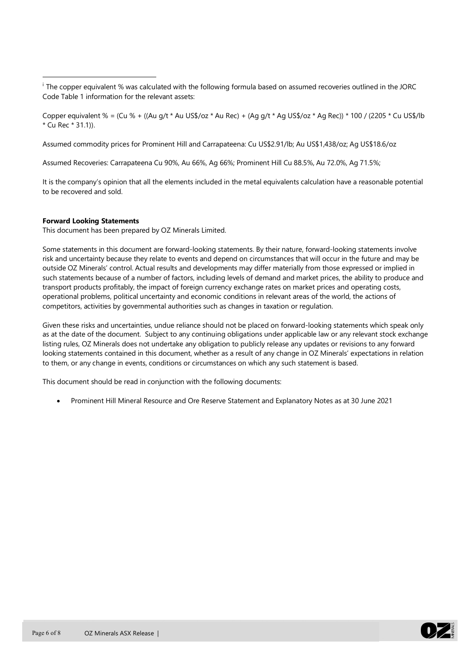<sup>i</sup> The copper equivalent % was calculated with the following formula based on assumed recoveries outlined in the JORC Code Table 1 information for the relevant assets:

Copper equivalent % = (Cu % + ((Au g/t \* Au US\$/oz \* Au Rec) + (Ag g/t \* Ag US\$/oz \* Ag Rec)) \* 100 / (2205 \* Cu US\$/lb \* Cu Rec \* 31.1)).

Assumed commodity prices for Prominent Hill and Carrapateena: Cu US\$2.91/lb; Au US\$1,438/oz; Ag US\$18.6/oz

Assumed Recoveries: Carrapateena Cu 90%, Au 66%, Ag 66%; Prominent Hill Cu 88.5%, Au 72.0%, Ag 71.5%;

It is the company's opinion that all the elements included in the metal equivalents calculation have a reasonable potential to be recovered and sold.

#### **Forward Looking Statements**

This document has been prepared by OZ Minerals Limited.

Some statements in this document are forward-looking statements. By their nature, forward-looking statements involve risk and uncertainty because they relate to events and depend on circumstances that will occur in the future and may be outside OZ Minerals' control. Actual results and developments may differ materially from those expressed or implied in such statements because of a number of factors, including levels of demand and market prices, the ability to produce and transport products profitably, the impact of foreign currency exchange rates on market prices and operating costs, operational problems, political uncertainty and economic conditions in relevant areas of the world, the actions of competitors, activities by governmental authorities such as changes in taxation or regulation.

Given these risks and uncertainties, undue reliance should not be placed on forward-looking statements which speak only as at the date of the document. Subject to any continuing obligations under applicable law or any relevant stock exchange listing rules, OZ Minerals does not undertake any obligation to publicly release any updates or revisions to any forward looking statements contained in this document, whether as a result of any change in OZ Minerals' expectations in relation to them, or any change in events, conditions or circumstances on which any such statement is based.

This document should be read in conjunction with the following documents:

• Prominent Hill Mineral Resource and Ore Reserve Statement and Explanatory Notes as at 30 June 2021

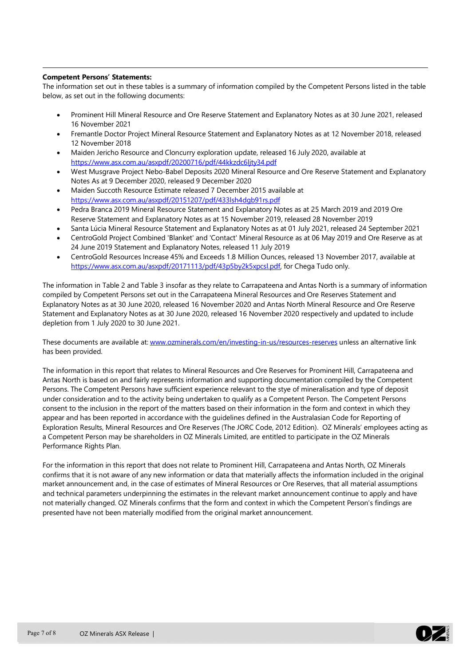#### **Competent Persons' Statements:**

<span id="page-6-0"></span>The information set out in these tables is a summary of information compiled by the Competent Persons listed in the table below, as set out in the following documents:

- Prominent Hill Mineral Resource and Ore Reserve Statement and Explanatory Notes as at 30 June 2021, released 16 November 2021
- Fremantle Doctor Project Mineral Resource Statement and Explanatory Notes as at 12 November 2018, released 12 November 2018
- Maiden Jericho Resource and Cloncurry exploration update, released 16 July 2020, available at <https://www.asx.com.au/asxpdf/20200716/pdf/44kkzdc6ljty34.pdf>
- West Musgrave Project Nebo-Babel Deposits 2020 Mineral Resource and Ore Reserve Statement and Explanatory Notes As at 9 December 2020, released 9 December 2020
- Maiden Succoth Resource Estimate released 7 December 2015 available at <https://www.asx.com.au/asxpdf/20151207/pdf/433lsh4dgb91rs.pdf>
- Pedra Branca 2019 Mineral Resource Statement and Explanatory Notes as at 25 March 2019 and 2019 Ore Reserve Statement and Explanatory Notes as at 15 November 2019, released 28 November 2019
- Santa Lúcia Mineral Resource Statement and Explanatory Notes as at 01 July 2021, released 24 September 2021
- CentroGold Project Combined 'Blanket' and 'Contact' Mineral Resource as at 06 May 2019 and Ore Reserve as at 24 June 2019 Statement and Explanatory Notes, released 11 July 2019
- CentroGold Resources Increase 45% and Exceeds 1.8 Million Ounces, released 13 November 2017, available at [https://www.asx.com.au/asxpdf/20171113/pdf/43p5by2k5xpcsl.pdf,](https://www.asx.com.au/asxpdf/20171113/pdf/43p5by2k5xpcsl.pdf) for Chega Tudo only.

The information in Table 2 and Table 3 insofar as they relate to Carrapateena and Antas North is a summary of information compiled by Competent Persons set out in the Carrapateena Mineral Resources and Ore Reserves Statement and Explanatory Notes as at 30 June 2020, released 16 November 2020 and Antas North Mineral Resource and Ore Reserve Statement and Explanatory Notes as at 30 June 2020, released 16 November 2020 respectively and updated to include depletion from 1 July 2020 to 30 June 2021.

These documents are available at: [www.ozminerals.com/en/investing-in-us/resources-reserves](http://www.ozminerals.com/en/investing-in-us/resources-reserves) unless an alternative link has been provided.

The information in this report that relates to Mineral Resources and Ore Reserves for Prominent Hill, Carrapateena and Antas North is based on and fairly represents information and supporting documentation compiled by the Competent Persons. The Competent Persons have sufficient experience relevant to the stye of mineralisation and type of deposit under consideration and to the activity being undertaken to qualify as a Competent Person. The Competent Persons consent to the inclusion in the report of the matters based on their information in the form and context in which they appear and has been reported in accordance with the guidelines defined in the Australasian Code for Reporting of Exploration Results, Mineral Resources and Ore Reserves (The JORC Code, 2012 Edition). OZ Minerals' employees acting as a Competent Person may be shareholders in OZ Minerals Limited, are entitled to participate in the OZ Minerals Performance Rights Plan.

For the information in this report that does not relate to Prominent Hill, Carrapateena and Antas North, OZ Minerals confirms that it is not aware of any new information or data that materially affects the information included in the original market announcement and, in the case of estimates of Mineral Resources or Ore Reserves, that all material assumptions and technical parameters underpinning the estimates in the relevant market announcement continue to apply and have not materially changed. OZ Minerals confirms that the form and context in which the Competent Person's findings are presented have not been materially modified from the original market announcement.